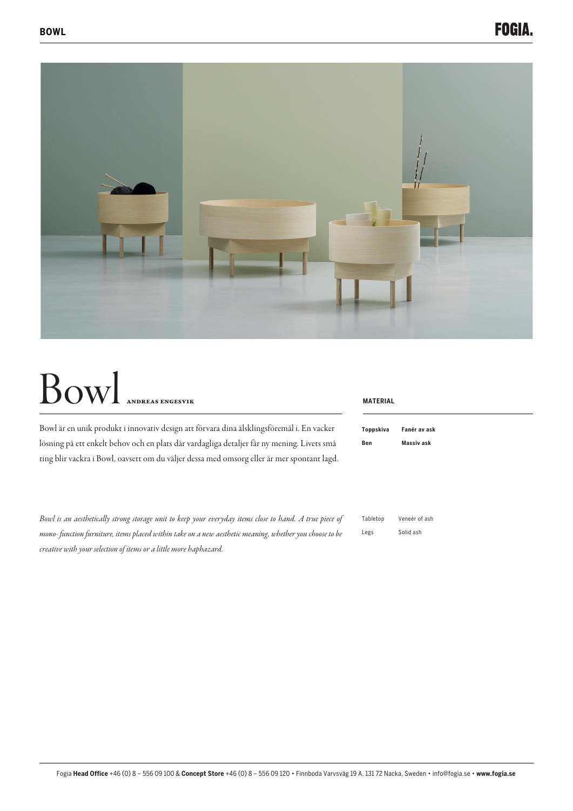

## Bowl ANDREAS ENGESVIK

Bowl är en unik produkt i innovativ design att förvara dina älsklingsföremål i. En vacker lösning på ett enkelt behov och en plats där vardagliga detaljer får ny mening. Livets små ting blir vackra i Bowl, oavsett om du väljer dessa med omsorg eller är mer spontant lagd.

*Bowl is an aesthetically strong storage unit to keep your everyday items close to hand. A true piece of mono- function furniture, items placed within take on a new aesthetic meaning, whether you choose to be creative with your selection of items or a little more haphazard.*

## **MATERIAL**

| Toppskiva | Fanér av ask |
|-----------|--------------|
| Ben       | Massiy ask   |

| Tabletop | Veneér of ash |
|----------|---------------|
| Legs     | Solid ash     |